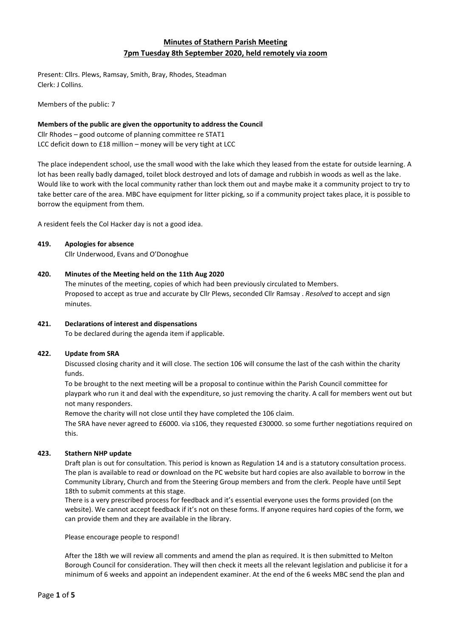# **Minutes of Stathern Parish Meeting 7pm Tuesday 8th September 2020, held remotely via zoom**

Present: Cllrs. Plews, Ramsay, Smith, Bray, Rhodes, Steadman Clerk: J Collins.

Members of the public: 7

## **Members of the public are given the opportunity to address the Council**

Cllr Rhodes – good outcome of planning committee re STAT1 LCC deficit down to £18 million – money will be very tight at LCC

The place independent school, use the small wood with the lake which they leased from the estate for outside learning. A lot has been really badly damaged, toilet block destroyed and lots of damage and rubbish in woods as well as the lake. Would like to work with the local community rather than lock them out and maybe make it a community project to try to take better care of the area. MBC have equipment for litter picking, so if a community project takes place, it is possible to borrow the equipment from them.

A resident feels the Col Hacker day is not a good idea.

## **419. Apologies for absence**

Cllr Underwood, Evans and O'Donoghue

# **420. Minutes of the Meeting held on the 11th Aug 2020**

The minutes of the meeting, copies of which had been previously circulated to Members. Proposed to accept as true and accurate by Cllr Plews, seconded Cllr Ramsay . *Resolved* to accept and sign minutes.

# **421. Declarations of interest and dispensations**

To be declared during the agenda item if applicable.

## **422. Update from SRA**

Discussed closing charity and it will close. The section 106 will consume the last of the cash within the charity funds.

To be brought to the next meeting will be a proposal to continue within the Parish Council committee for playpark who run it and deal with the expenditure, so just removing the charity. A call for members went out but not many responders.

Remove the charity will not close until they have completed the 106 claim.

The SRA have never agreed to £6000. via s106, they requested £30000. so some further negotiations required on this.

# **423. Stathern NHP update**

Draft plan is out for consultation. This period is known as Regulation 14 and is a statutory consultation process. The plan is available to read or download on the PC website but hard copies are also available to borrow in the Community Library, Church and from the Steering Group members and from the clerk. People have until Sept 18th to submit comments at this stage.

There is a very prescribed process for feedback and it's essential everyone uses the forms provided (on the website). We cannot accept feedback if it's not on these forms. If anyone requires hard copies of the form, we can provide them and they are available in the library.

Please encourage people to respond!

After the 18th we will review all comments and amend the plan as required. It is then submitted to Melton Borough Council for consideration. They will then check it meets all the relevant legislation and publicise it for a minimum of 6 weeks and appoint an independent examiner. At the end of the 6 weeks MBC send the plan and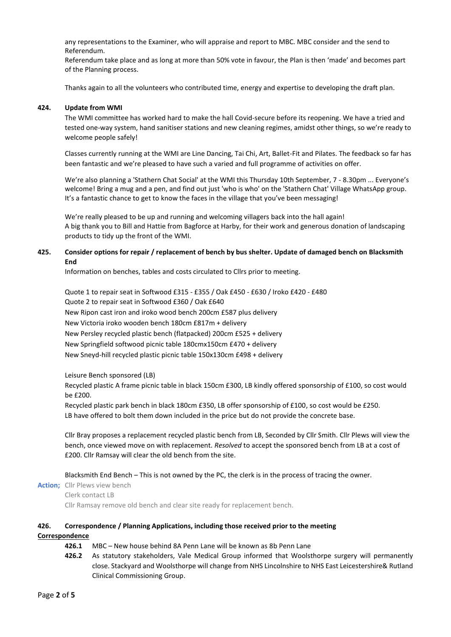any representations to the Examiner, who will appraise and report to MBC. MBC consider and the send to Referendum.

Referendum take place and as long at more than 50% vote in favour, the Plan is then 'made' and becomes part of the Planning process.

Thanks again to all the volunteers who contributed time, energy and expertise to developing the draft plan.

#### **424. Update from WMI**

The WMI committee has worked hard to make the hall Covid-secure before its reopening. We have a tried and tested one-way system, hand sanitiser stations and new cleaning regimes, amidst other things, so we're ready to welcome people safely!

Classes currently running at the WMI are Line Dancing, Tai Chi, Art, Ballet-Fit and Pilates. The feedback so far has been fantastic and we're pleased to have such a varied and full programme of activities on offer.

We're also planning a 'Stathern Chat Social' at the WMI this Thursday 10th September, 7 - 8.30pm ... Everyone's welcome! Bring a mug and a pen, and find out just 'who is who' on the 'Stathern Chat' Village WhatsApp group. It's a fantastic chance to get to know the faces in the village that you've been messaging!

We're really pleased to be up and running and welcoming villagers back into the hall again! A big thank you to Bill and Hattie from Bagforce at Harby, for their work and generous donation of landscaping products to tidy up the front of the WMI.

## **425. Consider options for repair / replacement of bench by bus shelter. Update of damaged bench on Blacksmith End**

Information on benches, tables and costs circulated to Cllrs prior to meeting.

Quote 1 to repair seat in Softwood £315 - £355 / Oak £450 - £630 / Iroko £420 - £480 Quote 2 to repair seat in Softwood £360 / Oak £640 New Ripon cast iron and iroko wood bench 200cm £587 plus delivery New Victoria iroko wooden bench 180cm £817m + delivery New Persley recycled plastic bench (flatpacked) 200cm £525 + delivery New Springfield softwood picnic table 180cmx150cm £470 + delivery New Sneyd-hill recycled plastic picnic table 150x130cm £498 + delivery

Leisure Bench sponsored (LB)

Recycled plastic A frame picnic table in black 150cm £300, LB kindly offered sponsorship of £100, so cost would be £200.

Recycled plastic park bench in black 180cm £350, LB offer sponsorship of £100, so cost would be £250. LB have offered to bolt them down included in the price but do not provide the concrete base.

Cllr Bray proposes a replacement recycled plastic bench from LB, Seconded by Cllr Smith. Cllr Plews will view the bench, once viewed move on with replacement. *Resolved* to accept the sponsored bench from LB at a cost of £200. Cllr Ramsay will clear the old bench from the site.

Blacksmith End Bench – This is not owned by the PC, the clerk is in the process of tracing the owner.

**Action;** Cllr Plews view bench Clerk contact LB

Cllr Ramsay remove old bench and clear site ready for replacement bench.

# **426. Correspondence / Planning Applications, including those received prior to the meeting**

**Correspondence**

- **426.1** MBC New house behind 8A Penn Lane will be known as 8b Penn Lane
- **426.2** As statutory stakeholders, Vale Medical Group informed that Woolsthorpe surgery will permanently close. Stackyard and Woolsthorpe will change from NHS Lincolnshire to NHS East Leicestershire& Rutland Clinical Commissioning Group.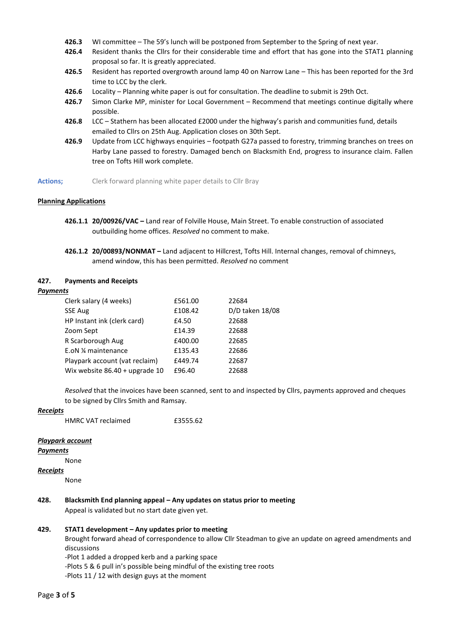- **426.3** WI committee The 59's lunch will be postponed from September to the Spring of next year.
- **426.4** Resident thanks the Cllrs for their considerable time and effort that has gone into the STAT1 planning proposal so far. It is greatly appreciated.
- **426.5** Resident has reported overgrowth around lamp 40 on Narrow Lane This has been reported for the 3rd time to LCC by the clerk.
- **426.6** Locality Planning white paper is out for consultation. The deadline to submit is 29th Oct.
- **426.7** Simon Clarke MP, minister for Local Government Recommend that meetings continue digitally where possible.
- **426.8** LCC Stathern has been allocated £2000 under the highway's parish and communities fund, details emailed to Cllrs on 25th Aug. Application closes on 30th Sept.
- **426.9** Update from LCC highways enquiries footpath G27a passed to forestry, trimming branches on trees on Harby Lane passed to forestry. Damaged bench on Blacksmith End, progress to insurance claim. Fallen tree on Tofts Hill work complete.
- Actions; Clerk forward planning white paper details to Cllr Bray

#### **Planning Applications**

- **426.1.1 20/00926/VAC –** Land rear of Folville House, Main Street. To enable construction of associated outbuilding home offices. *Resolved* no comment to make.
- **426.1.2 20/00893/NONMAT –** Land adjacent to Hillcrest, Tofts Hill. Internal changes, removal of chimneys, amend window, this has been permitted. *Resolved* no comment

### **427. Payments and Receipts**

#### *Payments*

| Clerk salary (4 weeks)         | £561.00 | 22684           |
|--------------------------------|---------|-----------------|
| <b>SSE Aug</b>                 | £108.42 | D/D taken 18/08 |
| HP Instant ink (clerk card)    | £4.50   | 22688           |
| Zoom Sept                      | £14.39  | 22688           |
| R Scarborough Aug              | £400.00 | 22685           |
| E.oN 1/4 maintenance           | £135.43 | 22686           |
| Playpark account (vat reclaim) | £449.74 | 22687           |
| Wix website 86.40 + upgrade 10 | £96.40  | 22688           |

*Resolved* that the invoices have been scanned, sent to and inspected by Cllrs, payments approved and cheques to be signed by Cllrs Smith and Ramsay.

#### *Receipts*

HMRC VAT reclaimed **£3555.62** 

#### *Playpark account*

*Payments*

None

#### *Receipts*

None

# **428. Blacksmith End planning appeal – Any updates on status prior to meeting**

Appeal is validated but no start date given yet.

# **429. STAT1 development – Any updates prior to meeting**

Brought forward ahead of correspondence to allow Cllr Steadman to give an update on agreed amendments and discussions

-Plot 1 added a dropped kerb and a parking space

-Plots 5 & 6 pull in's possible being mindful of the existing tree roots

-Plots 11 / 12 with design guys at the moment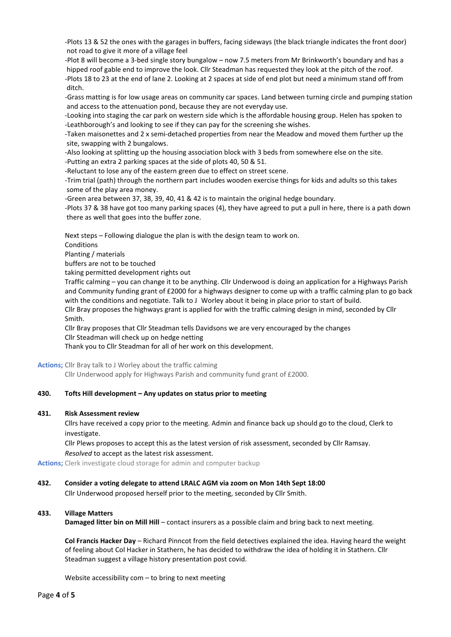- -Plots 13 & 52 the ones with the garages in buffers, facing sideways (the black triangle indicates the front door) not road to give it more of a village feel
- -Plot 8 will become a 3-bed single story bungalow now 7.5 meters from Mr Brinkworth's boundary and has a hipped roof gable end to improve the look. Cllr Steadman has requested they look at the pitch of the roof.
- -Plots 18 to 23 at the end of lane 2. Looking at 2 spaces at side of end plot but need a minimum stand off from ditch.
- -Grass matting is for low usage areas on community car spaces. Land between turning circle and pumping station and access to the attenuation pond, because they are not everyday use.
- -Looking into staging the car park on western side which is the affordable housing group. Helen has spoken to -Leathborough's and looking to see if they can pay for the screening she wishes.
- -Taken maisonettes and 2 x semi-detached properties from near the Meadow and moved them further up the site, swapping with 2 bungalows.
- -Also looking at splitting up the housing association block with 3 beds from somewhere else on the site.
- -Putting an extra 2 parking spaces at the side of plots 40, 50 & 51.
- -Reluctant to lose any of the eastern green due to effect on street scene.
- -Trim trial (path) through the northern part includes wooden exercise things for kids and adults so this takes some of the play area money.
- -Green area between 37, 38, 39, 40, 41 & 42 is to maintain the original hedge boundary.
- -Plots 37 & 38 have got too many parking spaces (4), they have agreed to put a pull in here, there is a path down there as well that goes into the buffer zone.

Next steps – Following dialogue the plan is with the design team to work on.

Conditions

Planting / materials

buffers are not to be touched

taking permitted development rights out

Traffic calming – you can change it to be anything. Cllr Underwood is doing an application for a Highways Parish and Community funding grant of £2000 for a highways designer to come up with a traffic calming plan to go back with the conditions and negotiate. Talk to J Worley about it being in place prior to start of build. Cllr Bray proposes the highways grant is applied for with the traffic calming design in mind, seconded by Cllr

Smith.

Cllr Bray proposes that Cllr Steadman tells Davidsons we are very encouraged by the changes Cllr Steadman will check up on hedge netting

Thank you to Cllr Steadman for all of her work on this development.

**Actions;** Cllr Bray talk to J Worley about the traffic calming

Cllr Underwood apply for Highways Parish and community fund grant of £2000.

# **430. Tofts Hill development – Any updates on status prior to meeting**

## **431. Risk Assessment review**

Cllrs have received a copy prior to the meeting. Admin and finance back up should go to the cloud, Clerk to investigate.

Cllr Plews proposes to accept this as the latest version of risk assessment, seconded by Cllr Ramsay. *Resolved* to accept as the latest risk assessment.

**Actions;** Clerk investigate cloud storage for admin and computer backup

## **432. Consider a voting delegate to attend LRALC AGM via zoom on Mon 14th Sept 18:00**

Cllr Underwood proposed herself prior to the meeting, seconded by Cllr Smith.

## **433. Village Matters**

**Damaged litter bin on Mill Hill** – contact insurers as a possible claim and bring back to next meeting.

**Col Francis Hacker Day** – Richard Pinncot from the field detectives explained the idea. Having heard the weight of feeling about Col Hacker in Stathern, he has decided to withdraw the idea of holding it in Stathern. Cllr Steadman suggest a village history presentation post covid.

Website accessibility com – to bring to next meeting